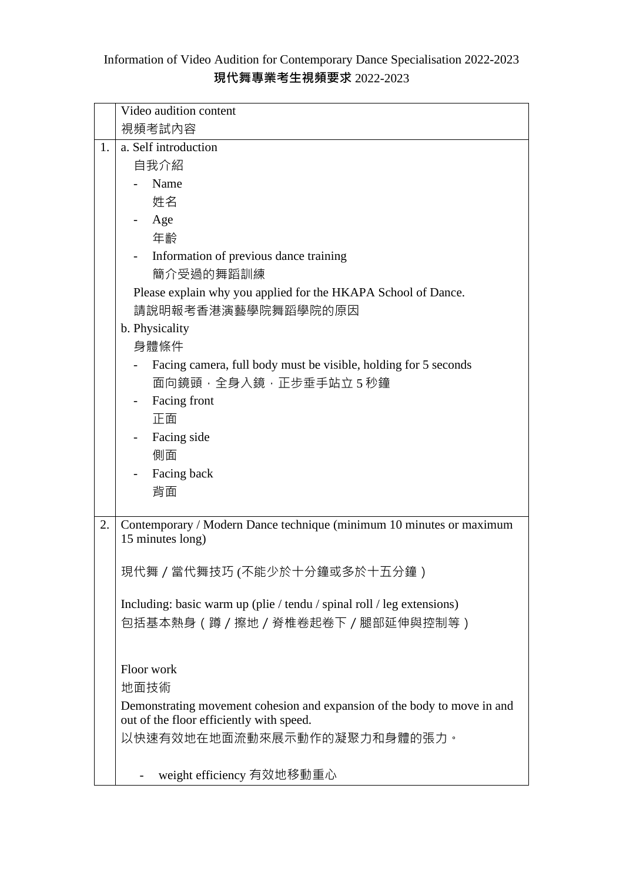## Information of Video Audition for Contemporary Dance Specialisation 2022-2023 **現代舞專業考生視頻要求** 2022-2023

|    | Video audition content                                                   |
|----|--------------------------------------------------------------------------|
|    | 視頻考試内容                                                                   |
| 1. | a. Self introduction                                                     |
|    | 自我介紹                                                                     |
|    | Name                                                                     |
|    | 姓名                                                                       |
|    | Age                                                                      |
|    | 年齡                                                                       |
|    | Information of previous dance training                                   |
|    | 簡介受過的舞蹈訓練                                                                |
|    | Please explain why you applied for the HKAPA School of Dance.            |
|    | 請說明報考香港演藝學院舞蹈學院的原因                                                       |
|    | b. Physicality                                                           |
|    | 身體條件                                                                     |
|    | Facing camera, full body must be visible, holding for 5 seconds          |
|    | 面向鏡頭,全身入鏡,正步垂手站立5秒鐘                                                      |
|    | Facing front                                                             |
|    | 正面                                                                       |
|    | Facing side                                                              |
|    | 側面                                                                       |
|    | Facing back                                                              |
|    | 背面                                                                       |
| 2. | Contemporary / Modern Dance technique (minimum 10 minutes or maximum     |
|    | 15 minutes long)                                                         |
|    |                                                                          |
|    | 現代舞 / 當代舞技巧 (不能少於十分鐘或多於十五分鐘)                                             |
|    |                                                                          |
|    | Including: basic warm up (plie / tendu / spinal roll / leg extensions)   |
|    | 包括基本熱身(蹲/擦地/脊椎卷起卷下/腿部延伸與控制等)                                             |
|    |                                                                          |
|    | Floor work                                                               |
|    | 地面技術                                                                     |
|    | Demonstrating movement cohesion and expansion of the body to move in and |
|    | out of the floor efficiently with speed.                                 |
|    | 以快速有效地在地面流動來展示動作的凝聚力和身體的張力。                                              |
|    |                                                                          |
|    | weight efficiency 有效地移動重心                                                |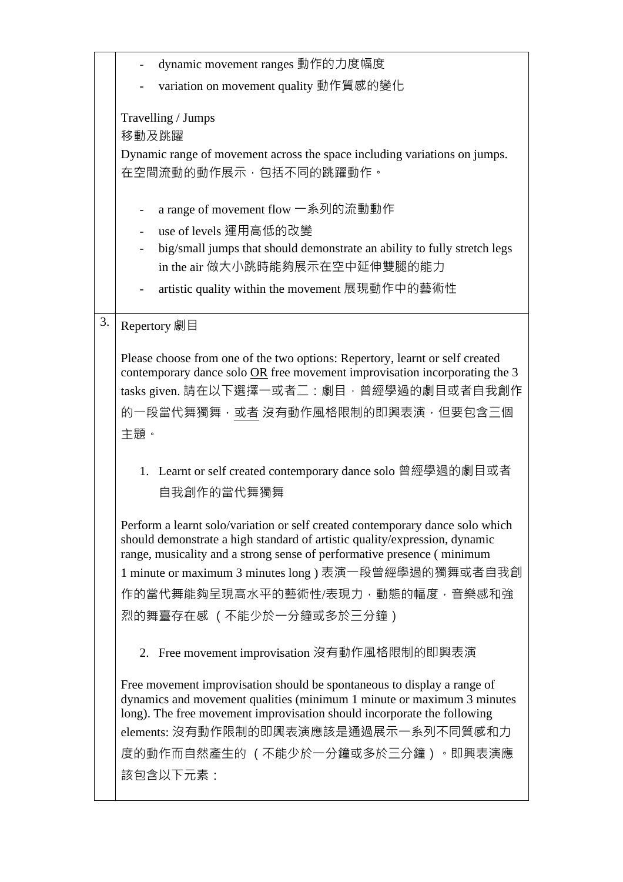|    | dynamic movement ranges 動作的力度幅度                                                                                                                                                                                                                                                                                                                              |
|----|--------------------------------------------------------------------------------------------------------------------------------------------------------------------------------------------------------------------------------------------------------------------------------------------------------------------------------------------------------------|
|    | variation on movement quality 動作質感的變化                                                                                                                                                                                                                                                                                                                        |
|    | Travelling / Jumps<br>移動及跳躍<br>Dynamic range of movement across the space including variations on jumps.<br>在空間流動的動作展示,包括不同的跳躍動作。                                                                                                                                                                                                                            |
|    | a range of movement flow 一系列的流動動作<br>use of levels 運用高低的改變<br>big/small jumps that should demonstrate an ability to fully stretch legs<br>in the air 做大小跳時能夠展示在空中延伸雙腿的能力<br>artistic quality within the movement 展現動作中的藝術性                                                                                                                                   |
| 3. | Repertory 劇目                                                                                                                                                                                                                                                                                                                                                 |
|    | Please choose from one of the two options: Repertory, learnt or self created<br>contemporary dance solo OR free movement improvisation incorporating the 3<br>tasks given. 請在以下選擇一或者二: 劇目, 曾經學過的劇目或者自我創作<br>的一段當代舞獨舞,或者 沒有動作風格限制的即興表演,但要包含三個<br>主題。                                                                                                          |
|    | 1. Learnt or self created contemporary dance solo 曾經學過的劇目或者<br>自我創作的當代舞獨舞                                                                                                                                                                                                                                                                                    |
|    | Perform a learnt solo/variation or self created contemporary dance solo which<br>should demonstrate a high standard of artistic quality/expression, dynamic<br>range, musicality and a strong sense of performative presence (minimum<br>1 minute or maximum 3 minutes long) 表演一段曾經學過的獨舞或者自我創<br>作的當代舞能夠呈現高水平的藝術性/表現力,動態的幅度,音樂感和強<br>烈的舞臺存在感 (不能少於一分鐘或多於三分鐘) |
|    | 2. Free movement improvisation 沒有動作風格限制的即興表演                                                                                                                                                                                                                                                                                                                 |
|    | Free movement improvisation should be spontaneous to display a range of<br>dynamics and movement qualities (minimum 1 minute or maximum 3 minutes<br>long). The free movement improvisation should incorporate the following<br>elements: 沒有動作限制的即興表演應該是通過展示一系列不同質感和力<br>度的動作而自然產生的 (不能少於一分鐘或多於三分鐘) 。即興表演應<br>該包含以下元素:                                       |